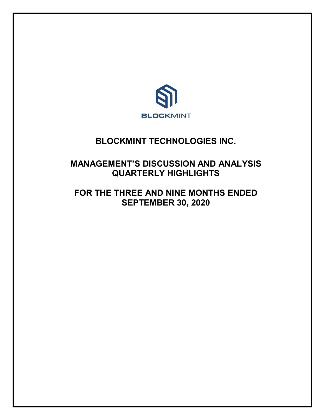

# **BLOCKMINT TECHNOLOGIES INC.**

# **MANAGEMENT'S DISCUSSION AND ANALYSIS QUARTERLY HIGHLIGHTS**

# **FOR THE THREE AND NINE MONTHS ENDED SEPTEMBER 30, 2020**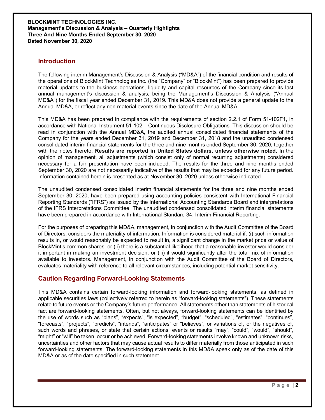### **Introduction**

The following interim Management's Discussion & Analysis ("MD&A") of the financial condition and results of the operations of BlockMint Technologies Inc. (the "Company" or "BlockMint") has been prepared to provide material updates to the business operations, liquidity and capital resources of the Company since its last annual management's discussion & analysis, being the Management's Discussion & Analysis ("Annual MD&A") for the fiscal year ended December 31, 2019. This MD&A does not provide a general update to the Annual MD&A, or reflect any non-material events since the date of the Annual MD&A.

This MD&A has been prepared in compliance with the requirements of section 2.2.1 of Form 51-102F1, in accordance with National Instrument 51-102 – Continuous Disclosure Obligations. This discussion should be read in conjunction with the Annual MD&A, the audited annual consolidated financial statements of the Company for the years ended December 31, 2019 and December 31, 2018 and the unaudited condensed consolidated interim financial statements for the three and nine months ended September 30, 2020, together with the notes thereto. **Results are reported in United States dollars, unless otherwise noted.** In the opinion of management, all adjustments (which consist only of normal recurring adjustments) considered necessary for a fair presentation have been included. The results for the three and nine months ended September 30, 2020 are not necessarily indicative of the results that may be expected for any future period. Information contained herein is presented as at November 30, 2020 unless otherwise indicated.

The unaudited condensed consolidated interim financial statements for the three and nine months ended September 30, 2020, have been prepared using accounting policies consistent with International Financial Reporting Standards ("IFRS") as issued by the International Accounting Standards Board and interpretations of the IFRS Interpretations Committee. The unaudited condensed consolidated interim financial statements have been prepared in accordance with International Standard 34, Interim Financial Reporting.

For the purposes of preparing this MD&A, management, in conjunction with the Audit Committee of the Board of Directors, considers the materiality of information. Information is considered material if: (i) such information results in, or would reasonably be expected to result in, a significant change in the market price or value of BlockMint's common shares; or (ii) there is a substantial likelihood that a reasonable investor would consider it important in making an investment decision; or (iii) it would significantly alter the total mix of information available to investors. Management, in conjunction with the Audit Committee of the Board of Directors, evaluates materiality with reference to all relevant circumstances, including potential market sensitivity.

## **Caution Regarding Forward-Looking Statements**

This MD&A contains certain forward-looking information and forward-looking statements, as defined in applicable securities laws (collectively referred to herein as "forward-looking statements"). These statements relate to future events or the Company's future performance. All statements other than statements of historical fact are forward-looking statements. Often, but not always, forward-looking statements can be identified by the use of words such as "plans", "expects", "is expected", "budget", "scheduled", "estimates", "continues", "forecasts", "projects", "predicts", "intends", "anticipates" or "believes", or variations of, or the negatives of, such words and phrases, or state that certain actions, events or results "may", "could", "would", "should", "might" or "will" be taken, occur or be achieved. Forward-looking statements involve known and unknown risks, uncertainties and other factors that may cause actual results to differ materially from those anticipated in such forward-looking statements. The forward-looking statements in this MD&A speak only as of the date of this MD&A or as of the date specified in such statement.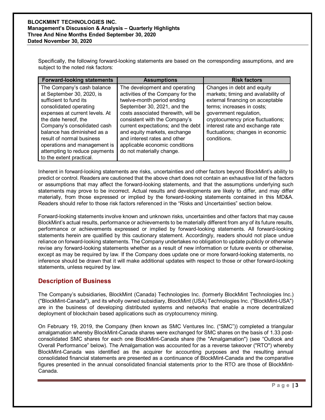Specifically, the following forward-looking statements are based on the corresponding assumptions, and are subject to the noted risk factors:

| <b>Forward-looking statements</b>                                                                                                                                                                                                                                                                                                                             | <b>Assumptions</b>                                                                                                                                                                                                                                                                                                                                                           | <b>Risk factors</b>                                                                                                                                                                                                                                                                        |
|---------------------------------------------------------------------------------------------------------------------------------------------------------------------------------------------------------------------------------------------------------------------------------------------------------------------------------------------------------------|------------------------------------------------------------------------------------------------------------------------------------------------------------------------------------------------------------------------------------------------------------------------------------------------------------------------------------------------------------------------------|--------------------------------------------------------------------------------------------------------------------------------------------------------------------------------------------------------------------------------------------------------------------------------------------|
| The Company's cash balance<br>at September 30, 2020, is<br>sufficient to fund its<br>consolidated operating<br>expenses at current levels. At<br>the date hereof, the<br>Company's consolidated cash<br>balance has diminished as a<br>result of normal business<br>operations and management is<br>attempting to reduce payments<br>to the extent practical. | The development and operating<br>activities of the Company for the<br>twelve-month period ending<br>September 30, 2021, and the<br>costs associated therewith, will be<br>consistent with the Company's<br>current expectations; and the debt<br>and equity markets, exchange<br>and interest rates and other<br>applicable economic conditions<br>do not materially change. | Changes in debt and equity<br>markets; timing and availability of<br>external financing on acceptable<br>terms; increases in costs;<br>government regulation,<br>cryptocurrency price fluctuations;<br>interest rate and exchange rate<br>fluctuations; changes in economic<br>conditions. |

Inherent in forward-looking statements are risks, uncertainties and other factors beyond BlockMint's ability to predict or control. Readers are cautioned that the above chart does not contain an exhaustive list of the factors or assumptions that may affect the forward-looking statements, and that the assumptions underlying such statements may prove to be incorrect. Actual results and developments are likely to differ, and may differ materially, from those expressed or implied by the forward-looking statements contained in this MD&A. Readers should refer to those risk factors referenced in the "Risks and Uncertainties" section below.

Forward-looking statements involve known and unknown risks, uncertainties and other factors that may cause BlockMint's actual results, performance or achievements to be materially different from any of its future results, performance or achievements expressed or implied by forward-looking statements. All forward-looking statements herein are qualified by this cautionary statement. Accordingly, readers should not place undue reliance on forward-looking statements. The Company undertakes no obligation to update publicly or otherwise revise any forward-looking statements whether as a result of new information or future events or otherwise, except as may be required by law. If the Company does update one or more forward-looking statements, no inference should be drawn that it will make additional updates with respect to those or other forward-looking statements, unless required by law.

## **Description of Business**

The Company's subsidiaries, BlockMint (Canada) Technologies Inc. (formerly BlockMint Technologies Inc.) ("BlockMint-Canada"), and its wholly owned subsidiary, BlockMint (USA) Technologies Inc. ("BlockMint-USA") are in the business of developing distributed systems and networks that enable a more decentralized deployment of blockchain based applications such as cryptocurrency mining.

On February 19, 2019, the Company (then known as SMC Ventures Inc. ("SMC")) completed a triangular amalgamation whereby BlockMint-Canada shares were exchanged for SMC shares on the basis of 1.33 postconsolidated SMC shares for each one BlockMint-Canada share (the "Amalgamation") (see "Outlook and Overall Performance" below). The Amalgamation was accounted for as a reverse takeover ("RTO") whereby BlockMint-Canada was identified as the acquirer for accounting purposes and the resulting annual consolidated financial statements are presented as a continuance of BlockMint-Canada and the comparative figures presented in the annual consolidated financial statements prior to the RTO are those of BlockMint-Canada.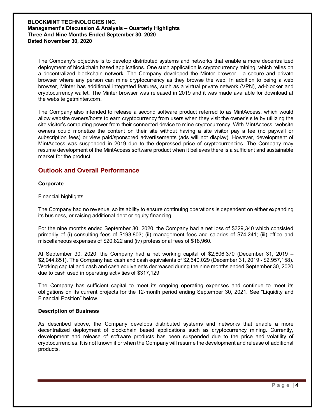The Company's objective is to develop distributed systems and networks that enable a more decentralized deployment of blockchain based applications. One such application is cryptocurrency mining, which relies on a decentralized blockchain network. The Company developed the Minter browser - a secure and private browser where any person can mine cryptocurrency as they browse the web. In addition to being a web browser, Minter has additional integrated features, such as a virtual private network (VPN), ad-blocker and cryptocurrency wallet. The Minter browser was released in 2019 and it was made available for download at the website getminter.com.

The Company also intended to release a second software product referred to as MintAccess, which would allow website owners/hosts to earn cryptocurrency from users when they visit the owner's site by utilizing the site visitor's computing power from their connected device to mine cryptocurrency. With MintAccess, website owners could monetize the content on their site without having a site visitor pay a fee (no paywall or subscription fees) or view paid/sponsored advertisements (ads will not display). However, development of MintAccess was suspended in 2019 due to the depressed price of cryptocurrencies. The Company may resume development of the MintAccess software product when it believes there is a sufficient and sustainable market for the product.

## **Outlook and Overall Performance**

#### **Corporate**

#### Financial highlights

The Company had no revenue, so its ability to ensure continuing operations is dependent on either expanding its business, or raising additional debt or equity financing.

For the nine months ended September 30, 2020, the Company had a net loss of \$329,340 which consisted primarily of (i) consulting fees of \$193,803; (ii) management fees and salaries of \$74,241; (iii) office and miscellaneous expenses of \$20,822 and (iv) professional fees of \$18,960.

At September 30, 2020, the Company had a net working capital of \$2,606,370 (December 31, 2019 – \$2,944,851). The Company had cash and cash equivalents of \$2,640,029 (December 31, 2019 - \$2,957,158). Working capital and cash and cash equivalents decreased during the nine months ended September 30, 2020 due to cash used in operating activities of \$317,129.

The Company has sufficient capital to meet its ongoing operating expenses and continue to meet its obligations on its current projects for the 12-month period ending September 30, 2021. See "Liquidity and Financial Position" below.

#### **Description of Business**

As described above, the Company develops distributed systems and networks that enable a more decentralized deployment of blockchain based applications such as cryptocurrency mining. Currently, development and release of software products has been suspended due to the price and volatility of cryptocurrencies. It is not known if or when the Company will resume the development and release of additional products.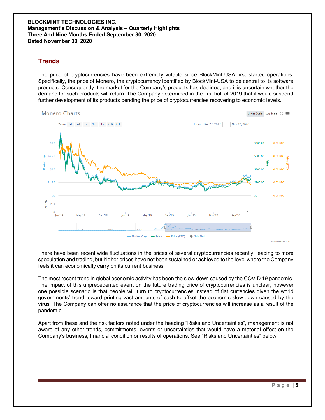### **Trends**

The price of cryptocurrencies have been extremely volatile since BlockMint-USA first started operations. Specifically, the price of Monero, the cryptocurrency identified by BlockMint-USA to be central to its software products. Consequently, the market for the Company's products has declined, and it is uncertain whether the demand for such products will return. The Company determined in the first half of 2019 that it would suspend further development of its products pending the price of cryptocurrencies recovering to economic levels.



There have been recent wide fluctuations in the prices of several cryptocurrencies recently, leading to more speculation and trading, but higher prices have not been sustained or achieved to the level where the Company feels it can economically carry on its current business.

The most recent trend in global economic activity has been the slow-down caused by the COVID 19 pandemic. The impact of this unprecedented event on the future trading price of cryptocurrencies is unclear, however one possible scenario is that people will turn to cryptocurrencies instead of fiat currencies given the world governments' trend toward printing vast amounts of cash to offset the economic slow-down caused by the virus. The Company can offer no assurance that the price of cryptocurrencies will increase as a result of the pandemic.

Apart from these and the risk factors noted under the heading "Risks and Uncertainties", management is not aware of any other trends, commitments, events or uncertainties that would have a material effect on the Company's business, financial condition or results of operations. See "Risks and Uncertainties" below.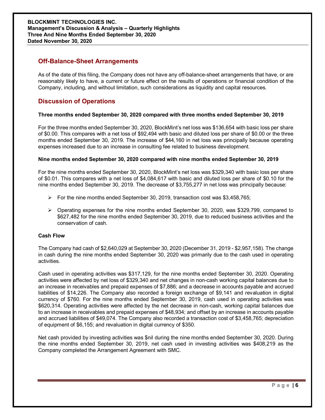## **Off-Balance-Sheet Arrangements**

As of the date of this filing, the Company does not have any off-balance-sheet arrangements that have, or are reasonably likely to have, a current or future effect on the results of operations or financial condition of the Company, including, and without limitation, such considerations as liquidity and capital resources.

## **Discussion of Operations**

#### **Three months ended September 30, 2020 compared with three months ended September 30, 2019**

For the three months ended September 30, 2020, BlockMint's net loss was \$136,654 with basic loss per share of \$0.00. This compares with a net loss of \$92,494 with basic and diluted loss per share of \$0.00 or the three months ended September 30, 2019. The increase of \$44,160 in net loss was principally because operating expenses increased due to an increase in consulting fee related to business development.

#### **Nine months ended September 30, 2020 compared with nine months ended September 30, 2019**

For the nine months ended September 30, 2020, BlockMint's net loss was \$329,340 with basic loss per share of \$0.01. This compares with a net loss of \$4,084,617 with basic and diluted loss per share of \$0.10 for the nine months ended September 30, 2019. The decrease of \$3,755,277 in net loss was principally because:

- $\triangleright$  For the nine months ended September 30, 2019, transaction cost was \$3,458,765;
- $\triangleright$  Operating expenses for the nine months ended September 30, 2020, was \$329,799, compared to \$627,482 for the nine months ended September 30, 2019, due to reduced business activities and the conservation of cash.

#### **Cash Flow**

The Company had cash of \$2,640,029 at September 30, 2020 (December 31, 2019 - \$2,957,158). The change in cash during the nine months ended September 30, 2020 was primarily due to the cash used in operating activities.

Cash used in operating activities was \$317,129, for the nine months ended September 30, 2020. Operating activities were affected by net loss of \$329,340 and net changes in non-cash working capital balances due to an increase in receivables and prepaid expenses of \$7,886; and a decrease in accounts payable and accrued liabilities of \$14,226. The Company also recorded a foreign exchange of \$9,141 and revaluation in digital currency of \$760. For the nine months ended September 30, 2019, cash used in operating activities was \$620,314. Operating activities were affected by the net decrease in non-cash, working capital balances due to an increase in receivables and prepaid expenses of \$48,934; and offset by an increase in accounts payable and accrued liabilities of \$49,074. The Company also recorded a transaction cost of \$3,458,765; depreciation of equipment of \$6,155; and revaluation in digital currency of \$350.

Net cash provided by investing activities was \$nil during the nine months ended September 30, 2020. During the nine months ended September 30, 2019, net cash used in investing activities was \$408,219 as the Company completed the Arrangement Agreement with SMC.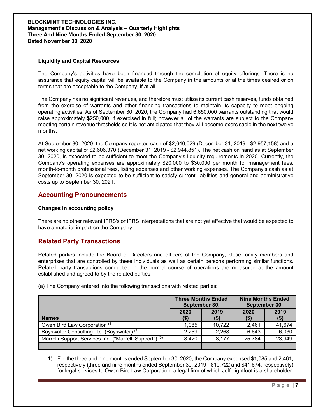#### **BLOCKMINT TECHNOLOGIES INC. Management's Discussion & Analysis – Quarterly Highlights Three And Nine Months Ended September 30, 2020 Dated November 30, 2020**

#### **Liquidity and Capital Resources**

The Company's activities have been financed through the completion of equity offerings. There is no assurance that equity capital will be available to the Company in the amounts or at the times desired or on terms that are acceptable to the Company, if at all.

The Company has no significant revenues, and therefore must utilize its current cash reserves, funds obtained from the exercise of warrants and other financing transactions to maintain its capacity to meet ongoing operating activities. As of September 30, 2020, the Company had 6,650,000 warrants outstanding that would raise approximately \$250,000, if exercised in full; however all of the warrants are subject to the Company meeting certain revenue thresholds so it is not anticipated that they will become exercisable in the next twelve months.

At September 30, 2020, the Company reported cash of \$2,640,029 (December 31, 2019 - \$2,957,158) and a net working capital of \$2,606,370 (December 31, 2019 - \$2,944,851). The net cash on hand as at September 30, 2020, is expected to be sufficient to meet the Company's liquidity requirements in 2020. Currently, the Company's operating expenses are approximately \$20,000 to \$30,000 per month for management fees, month-to-month professional fees, listing expenses and other working expenses. The Company's cash as at September 30, 2020 is expected to be sufficient to satisfy current liabilities and general and administrative costs up to September 30, 2021.

### **Accounting Pronouncements**

#### **Changes in accounting policy**

There are no other relevant IFRS's or IFRS interpretations that are not yet effective that would be expected to have a material impact on the Company.

## **Related Party Transactions**

Related parties include the Board of Directors and officers of the Company, close family members and enterprises that are controlled by these individuals as well as certain persons performing similar functions. Related party transactions conducted in the normal course of operations are measured at the amount established and agreed to by the related parties.

|                                                                    | <b>Three Months Ended</b><br>September 30, |              | <b>Nine Months Ended</b><br>September 30, |               |
|--------------------------------------------------------------------|--------------------------------------------|--------------|-------------------------------------------|---------------|
| <b>Names</b>                                                       | 2020<br>$($ \$                             | 2019<br>(\$) | 2020                                      | 2019<br>( \$) |
| Owen Bird Law Corporation (1)                                      | 1,085                                      | 10,722       | 2,461                                     | 41,674        |
| Bayswater Consulting Ltd. (Bayswater) <sup>(2)</sup>               | 2,259                                      | 2,268        | 6,643                                     | 6,030         |
| Marrelli Support Services Inc. ("Marrelli Support") <sup>(3)</sup> | 8,420                                      | 8,177        | 25,784                                    | 23,949        |
|                                                                    |                                            |              |                                           |               |

(a) The Company entered into the following transactions with related parties:

1) For the three and nine months ended September 30, 2020, the Company expensed \$1,085 and 2,461, respectively (three and nine months ended September 30, 2019 - \$10,722 and \$41,674, respectively) for legal services to Owen Bird Law Corporation, a legal firm of which Jeff Lightfoot is a shareholder.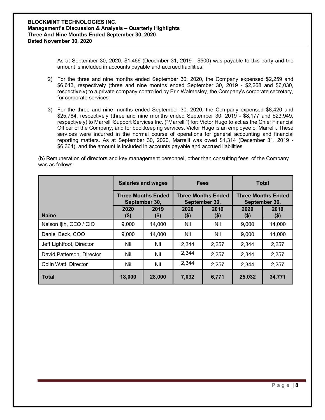As at September 30, 2020, \$1,466 (December 31, 2019 - \$500) was payable to this party and the amount is included in accounts payable and accrued liabilities.

- 2) For the three and nine months ended September 30, 2020, the Company expensed \$2,259 and \$6,643, respectively (three and nine months ended September 30, 2019 - \$2,268 and \$6,030, respectively) to a private company controlled by Erin Walmesley, the Company's corporate secretary, for corporate services.
- 3) For the three and nine months ended September 30, 2020, the Company expensed \$8,420 and \$25,784, respectively (three and nine months ended September 30, 2019 - \$8,177 and \$23,949, respectively) to Marrelli Support Services Inc. ("Marrelli") for: Victor Hugo to act as the Chief Financial Officer of the Company; and for bookkeeping services. Victor Hugo is an employee of Marrelli. These services were incurred in the normal course of operations for general accounting and financial reporting matters. As at September 30, 2020, Marrelli was owed \$1,314 (December 31, 2019 - \$6,364), and the amount is included in accounts payable and accrued liabilities.

(b) Remuneration of directors and key management personnel, other than consulting fees, of the Company was as follows:

|                           | <b>Salaries and wages</b><br><b>Three Months Ended</b><br>September 30, |                 | <b>Fees</b><br><b>Three Months Ended</b><br>September 30, |             | <b>Total</b>                               |                 |
|---------------------------|-------------------------------------------------------------------------|-----------------|-----------------------------------------------------------|-------------|--------------------------------------------|-----------------|
|                           |                                                                         |                 |                                                           |             | <b>Three Months Ended</b><br>September 30, |                 |
| <b>Name</b>               | 2020<br>(\$)                                                            | 2019<br>$($ \$) | 2020<br>$($ \$)                                           | 2019<br>\$) | 2020<br>(\$)                               | 2019<br>$($ \$) |
| Nelson Ijih, CEO / CIO    | 9,000                                                                   | 14,000          | Nil                                                       | Nil         | 9,000                                      | 14,000          |
| Daniel Beck, COO          | 9,000                                                                   | 14,000          | Nil                                                       | Nil         | 9,000                                      | 14,000          |
| Jeff Lightfoot, Director  | Nil                                                                     | Nil             | 2,344                                                     | 2,257       | 2,344                                      | 2,257           |
| David Patterson, Director | Nil                                                                     | Nil             | 2,344                                                     | 2,257       | 2,344                                      | 2,257           |
| Colin Watt, Director      | Nil                                                                     | Nil             | 2,344                                                     | 2,257       | 2,344                                      | 2,257           |
| <b>Total</b>              | 18,000                                                                  | 28,000          | 7,032                                                     | 6,771       | 25,032                                     | 34,771          |